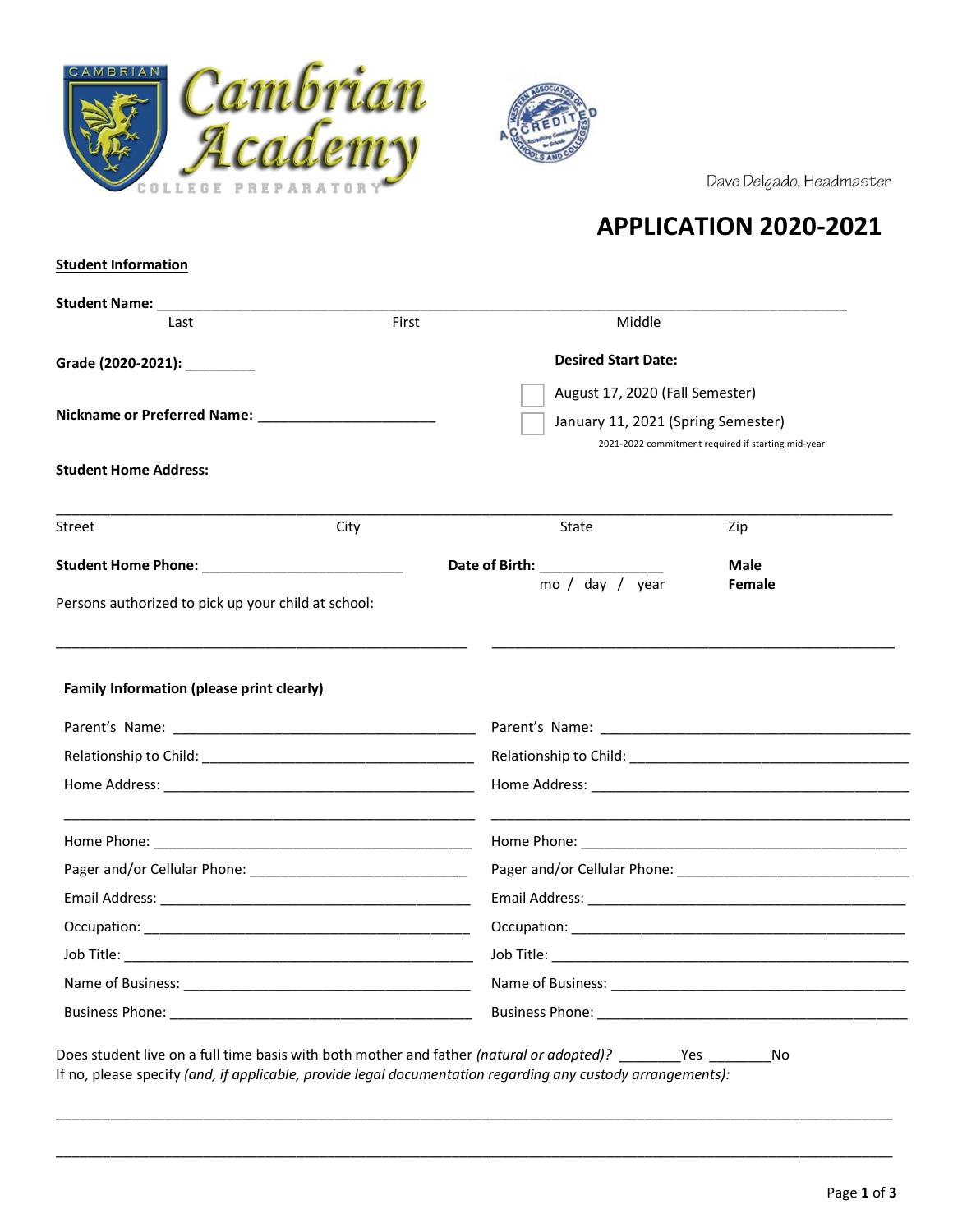



Dave Delgado, Headmaster

# **APPLICATION 2020-2021**

### **Student Information**

| Student Name: ____________                          |       |                                    |                                                    |
|-----------------------------------------------------|-------|------------------------------------|----------------------------------------------------|
| Last                                                | First | Middle                             |                                                    |
| Grade (2020-2021): _________                        |       | <b>Desired Start Date:</b>         |                                                    |
|                                                     |       | August 17, 2020 (Fall Semester)    |                                                    |
|                                                     |       | January 11, 2021 (Spring Semester) |                                                    |
|                                                     |       |                                    | 2021-2022 commitment required if starting mid-year |
| <b>Student Home Address:</b>                        |       |                                    |                                                    |
| Street                                              | City  | <b>State</b>                       | Zip                                                |
|                                                     |       | Date of Birth:                     | <b>Male</b>                                        |
| Persons authorized to pick up your child at school: |       | mo / day / year                    | Female                                             |
|                                                     |       |                                    |                                                    |
|                                                     |       |                                    |                                                    |
|                                                     |       |                                    |                                                    |
| <b>Family Information (please print clearly)</b>    |       |                                    |                                                    |
|                                                     |       |                                    |                                                    |
|                                                     |       |                                    |                                                    |
|                                                     |       |                                    |                                                    |
|                                                     |       |                                    |                                                    |
|                                                     |       |                                    |                                                    |
|                                                     |       |                                    |                                                    |
|                                                     |       |                                    |                                                    |
|                                                     |       |                                    |                                                    |
|                                                     |       |                                    |                                                    |

\_\_\_\_\_\_\_\_\_\_\_\_\_\_\_\_\_\_\_\_\_\_\_\_\_\_\_\_\_\_\_\_\_\_\_\_\_\_\_\_\_\_\_\_\_\_\_\_\_\_\_\_\_\_\_\_\_\_\_\_\_\_\_\_\_\_\_\_\_\_\_\_\_\_\_\_\_\_\_\_\_\_\_\_\_\_\_\_\_\_\_\_\_\_\_\_\_\_\_\_\_\_\_\_\_\_\_\_

\_\_\_\_\_\_\_\_\_\_\_\_\_\_\_\_\_\_\_\_\_\_\_\_\_\_\_\_\_\_\_\_\_\_\_\_\_\_\_\_\_\_\_\_\_\_\_\_\_\_\_\_\_\_\_\_\_\_\_\_\_\_\_\_\_\_\_\_\_\_\_\_\_\_\_\_\_\_\_\_\_\_\_\_\_\_\_\_\_\_\_\_\_\_\_\_\_\_\_\_\_\_\_\_\_\_\_\_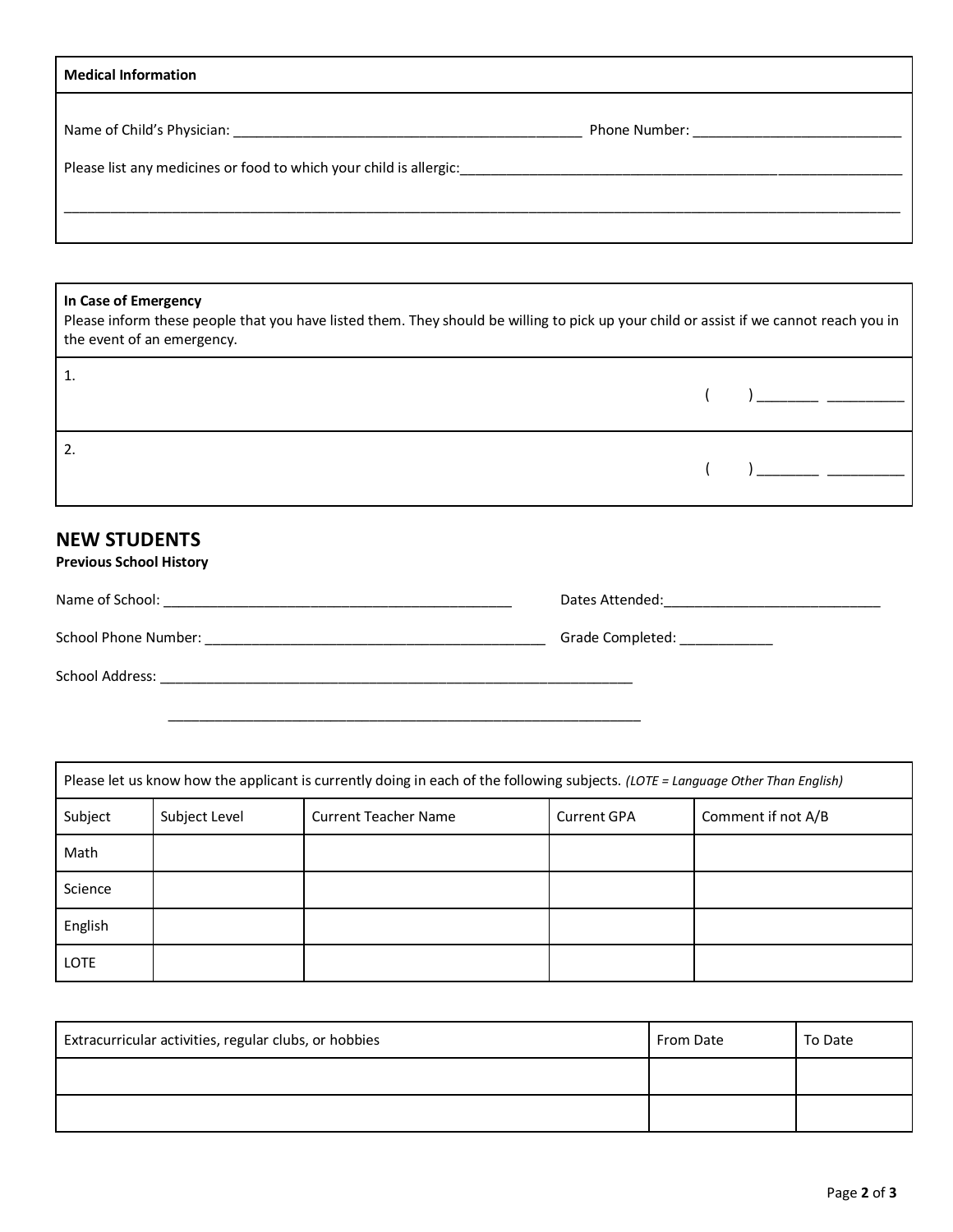| <b>Medical Information</b>                                         |                                         |  |
|--------------------------------------------------------------------|-----------------------------------------|--|
| Please list any medicines or food to which your child is allergic: | Phone Number: <u>__________________</u> |  |
|                                                                    |                                         |  |

## **In Case of Emergency**

Please inform these people that you have listed them. They should be willing to pick up your child or assist if we cannot reach you in the event of an emergency.

|  | $\begin{pmatrix} 1 & 1 \end{pmatrix}$ and $\begin{pmatrix} 1 & 1 \end{pmatrix}$ and $\begin{pmatrix} 1 & 1 \end{pmatrix}$ and $\begin{pmatrix} 1 & 1 \end{pmatrix}$ and $\begin{pmatrix} 1 & 1 \end{pmatrix}$ and $\begin{pmatrix} 1 & 1 \end{pmatrix}$ and $\begin{pmatrix} 1 & 1 \end{pmatrix}$ and $\begin{pmatrix} 1 & 1 \end{pmatrix}$ and $\begin{pmatrix} 1 & 1 \end{pmatrix}$ and $\begin{pm$ |
|--|-------------------------------------------------------------------------------------------------------------------------------------------------------------------------------------------------------------------------------------------------------------------------------------------------------------------------------------------------------------------------------------------------------|
|  | $\left(\begin{array}{cc} & \end{array}\right)$                                                                                                                                                                                                                                                                                                                                                        |

# **NEW STUDENTS Previous School History**

| Name of School:      | Dates Attended:  |
|----------------------|------------------|
| School Phone Number: | Grade Completed: |
| School Address:      |                  |

\_\_\_\_\_\_\_\_\_\_\_\_\_\_\_\_\_\_\_\_\_\_\_\_\_\_\_\_\_\_\_\_\_\_\_\_\_\_\_\_\_\_\_\_\_\_\_\_\_\_\_\_\_\_\_\_\_\_\_\_\_

| Please let us know how the applicant is currently doing in each of the following subjects. (LOTE = Language Other Than English) |               |                             |                    |                    |
|---------------------------------------------------------------------------------------------------------------------------------|---------------|-----------------------------|--------------------|--------------------|
| Subject                                                                                                                         | Subject Level | <b>Current Teacher Name</b> | <b>Current GPA</b> | Comment if not A/B |
| Math                                                                                                                            |               |                             |                    |                    |
| Science                                                                                                                         |               |                             |                    |                    |
| English                                                                                                                         |               |                             |                    |                    |
| <b>LOTE</b>                                                                                                                     |               |                             |                    |                    |

| Extracurricular activities, regular clubs, or hobbies | From Date | To Date |
|-------------------------------------------------------|-----------|---------|
|                                                       |           |         |
|                                                       |           |         |